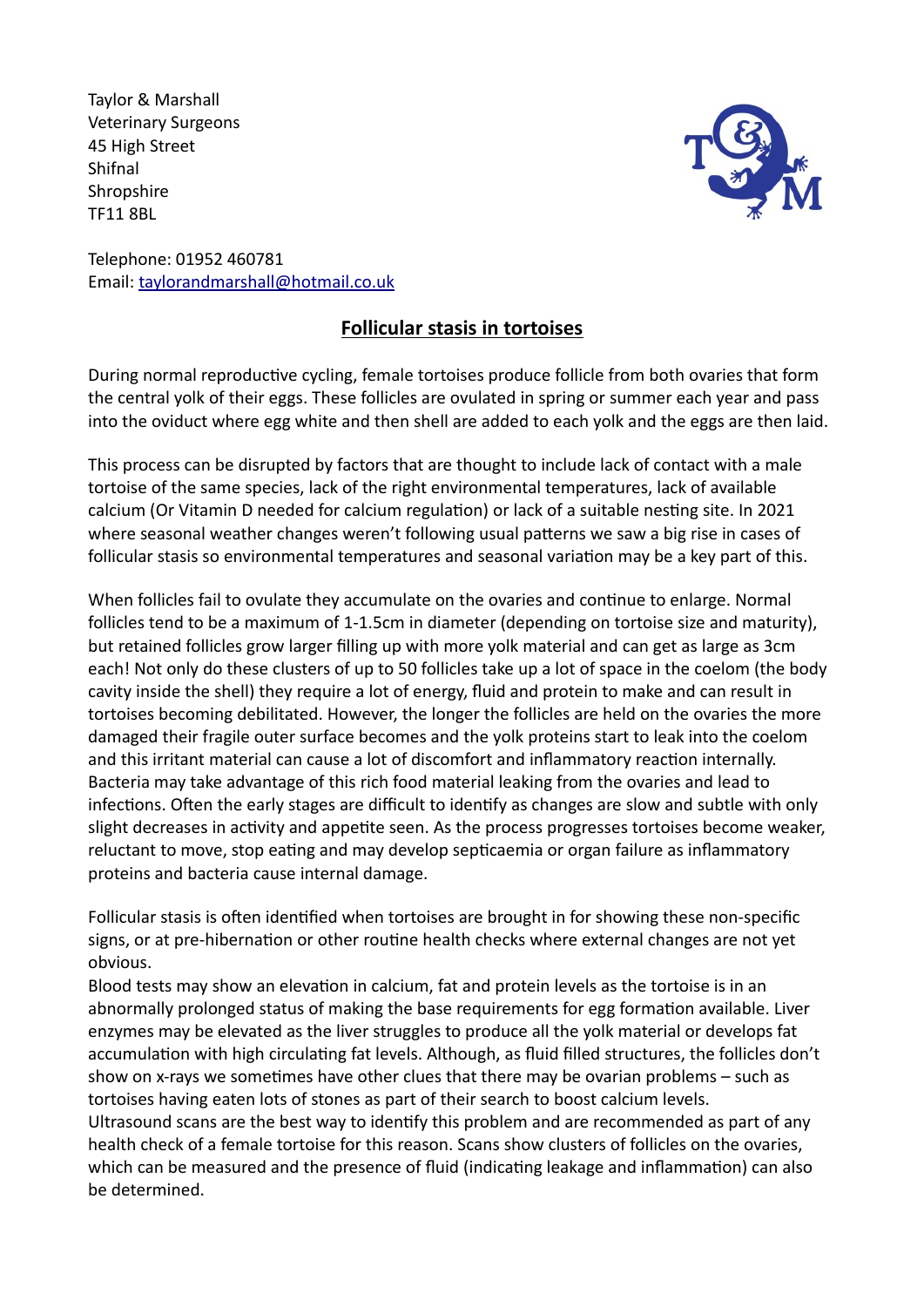Taylor & Marshall Veterinary Surgeons 45 High Street Shifnal **Shropshire** TF11 8BL



Telephone: 01952 460781 Email: taylorandmarshall@hotmail.co.uk

## **Follicular stasis in tortoises**

During normal reproductive cycling, female tortoises produce follicle from both ovaries that form the central yolk of their eggs. These follicles are ovulated in spring or summer each year and pass into the oviduct where egg white and then shell are added to each yolk and the eggs are then laid.

This process can be disrupted by factors that are thought to include lack of contact with a male tortoise of the same species, lack of the right environmental temperatures, lack of available calcium (Or Vitamin D needed for calcium regulation) or lack of a suitable nesting site. In 2021 where seasonal weather changes weren't following usual patterns we saw a big rise in cases of follicular stasis so environmental temperatures and seasonal variation may be a key part of this.

When follicles fail to ovulate they accumulate on the ovaries and continue to enlarge. Normal follicles tend to be a maximum of 1-1.5cm in diameter (depending on tortoise size and maturity), but retained follicles grow larger filling up with more yolk material and can get as large as 3cm each! Not only do these clusters of up to 50 follicles take up a lot of space in the coelom (the body cavity inside the shell) they require a lot of energy, fluid and protein to make and can result in tortoises becoming debilitated. However, the longer the follicles are held on the ovaries the more damaged their fragile outer surface becomes and the yolk proteins start to leak into the coelom and this irritant material can cause a lot of discomfort and inflammatory reaction internally. Bacteria may take advantage of this rich food material leaking from the ovaries and lead to infections. Often the early stages are difficult to identify as changes are slow and subtle with only slight decreases in activity and appetite seen. As the process progresses tortoises become weaker, reluctant to move, stop eating and may develop septicaemia or organ failure as inflammatory proteins and bacteria cause internal damage.

Follicular stasis is often identified when tortoises are brought in for showing these non-specific signs, or at pre-hibernation or other routine health checks where external changes are not yet obvious.

Blood tests may show an elevation in calcium, fat and protein levels as the tortoise is in an abnormally prolonged status of making the base requirements for egg formation available. Liver enzymes may be elevated as the liver struggles to produce all the yolk material or develops fat accumulation with high circulating fat levels. Although, as fluid filled structures, the follicles don't show on x-rays we sometimes have other clues that there may be ovarian problems – such as tortoises having eaten lots of stones as part of their search to boost calcium levels. Ultrasound scans are the best way to identify this problem and are recommended as part of any health check of a female tortoise for this reason. Scans show clusters of follicles on the ovaries, which can be measured and the presence of fluid (indicating leakage and inflammation) can also be determined.